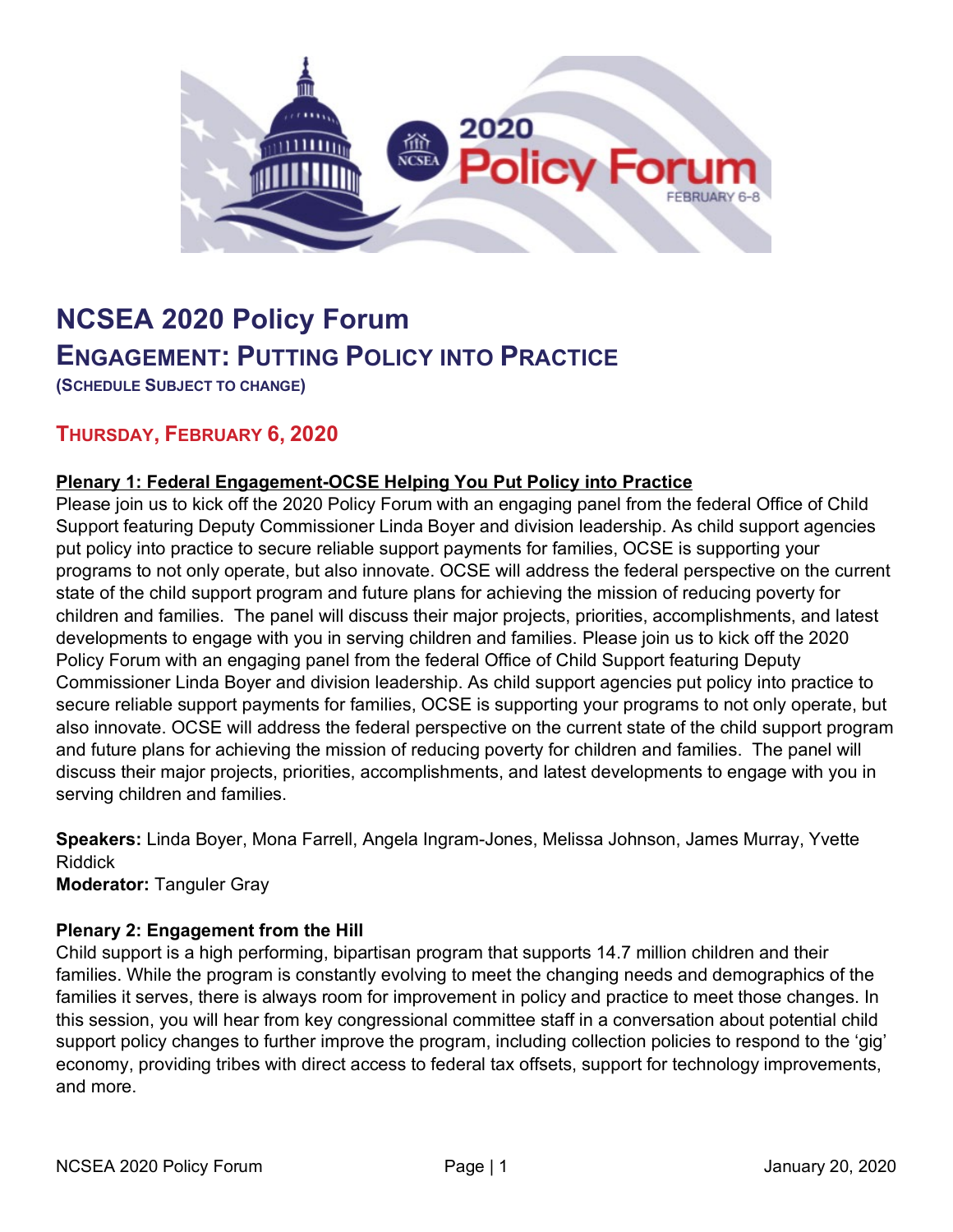

# **NCSEA 2020 Policy Forum ENGAGEMENT: PUTTING POLICY INTO PRACTICE**

**(SCHEDULE SUBJECT TO CHANGE)**

## **THURSDAY, FEBRUARY 6, 2020**

#### **Plenary 1: Federal Engagement-OCSE Helping You Put Policy into Practice**

Please join us to kick off the 2020 Policy Forum with an engaging panel from the federal Office of Child Support featuring Deputy Commissioner Linda Boyer and division leadership. As child support agencies put policy into practice to secure reliable support payments for families, OCSE is supporting your programs to not only operate, but also innovate. OCSE will address the federal perspective on the current state of the child support program and future plans for achieving the mission of reducing poverty for children and families. The panel will discuss their major projects, priorities, accomplishments, and latest developments to engage with you in serving children and families. Please join us to kick off the 2020 Policy Forum with an engaging panel from the federal Office of Child Support featuring Deputy Commissioner Linda Boyer and division leadership. As child support agencies put policy into practice to secure reliable support payments for families, OCSE is supporting your programs to not only operate, but also innovate. OCSE will address the federal perspective on the current state of the child support program and future plans for achieving the mission of reducing poverty for children and families. The panel will discuss their major projects, priorities, accomplishments, and latest developments to engage with you in serving children and families.

**Speakers:** Linda Boyer, Mona Farrell, Angela Ingram-Jones, Melissa Johnson, James Murray, Yvette Riddick

**Moderator:** Tanguler Gray

#### **Plenary 2: Engagement from the Hill**

Child support is a high performing, bipartisan program that supports 14.7 million children and their families. While the program is constantly evolving to meet the changing needs and demographics of the families it serves, there is always room for improvement in policy and practice to meet those changes. In this session, you will hear from key congressional committee staff in a conversation about potential child support policy changes to further improve the program, including collection policies to respond to the 'gig' economy, providing tribes with direct access to federal tax offsets, support for technology improvements, and more.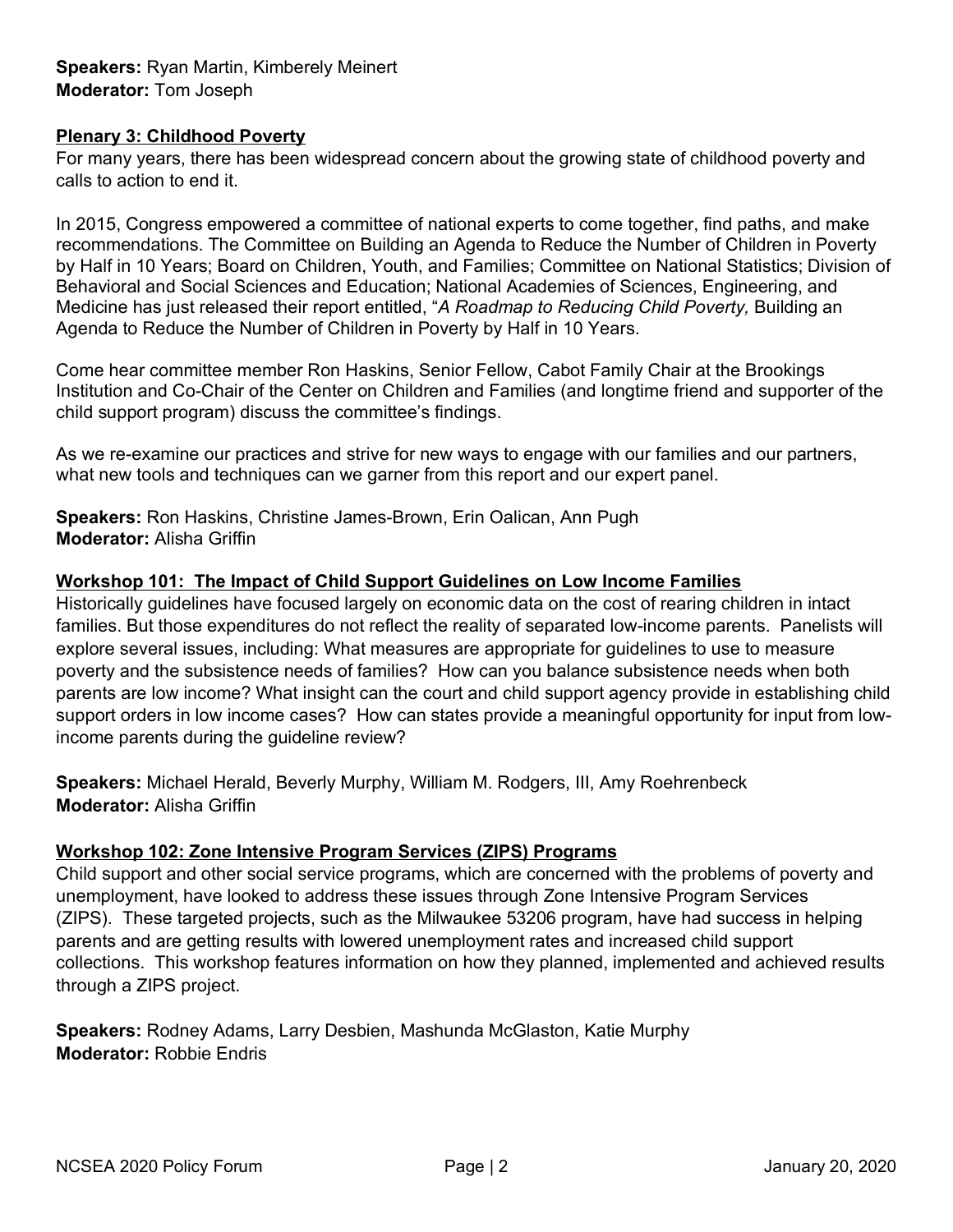**Speakers:** Ryan Martin, Kimberely Meinert **Moderator:** Tom Joseph

#### **Plenary 3: Childhood Poverty**

For many years, there has been widespread concern about the growing state of childhood poverty and calls to action to end it.

In 2015, Congress empowered a committee of national experts to come together, find paths, and make recommendations. The Committee on Building an Agenda to Reduce the Number of Children in Poverty by Half in 10 Years; Board on Children, Youth, and Families; Committee on National Statistics; Division of Behavioral and Social Sciences and Education; National Academies of Sciences, Engineering, and Medicine has just released their report entitled, "*A Roadmap to Reducing Child Poverty,* Building an Agenda to Reduce the Number of Children in Poverty by Half in 10 Years.

Come hear committee member Ron Haskins, Senior Fellow, Cabot Family Chair at the Brookings Institution and Co-Chair of the Center on Children and Families (and longtime friend and supporter of the child support program) discuss the committee's findings.

As we re-examine our practices and strive for new ways to engage with our families and our partners, what new tools and techniques can we garner from this report and our expert panel.

**Speakers:** Ron Haskins, Christine James-Brown, Erin Oalican, Ann Pugh **Moderator:** Alisha Griffin

#### **Workshop 101: The Impact of Child Support Guidelines on Low Income Families**

Historically guidelines have focused largely on economic data on the cost of rearing children in intact families. But those expenditures do not reflect the reality of separated low-income parents. Panelists will explore several issues, including: What measures are appropriate for guidelines to use to measure poverty and the subsistence needs of families? How can you balance subsistence needs when both parents are low income? What insight can the court and child support agency provide in establishing child support orders in low income cases? How can states provide a meaningful opportunity for input from lowincome parents during the guideline review?

**Speakers:** Michael Herald, Beverly Murphy, William M. Rodgers, III, Amy Roehrenbeck **Moderator:** Alisha Griffin

#### **Workshop 102: Zone Intensive Program Services (ZIPS) Programs**

Child support and other social service programs, which are concerned with the problems of poverty and unemployment, have looked to address these issues through Zone Intensive Program Services (ZIPS). These targeted projects, such as the Milwaukee 53206 program, have had success in helping parents and are getting results with lowered unemployment rates and increased child support collections. This workshop features information on how they planned, implemented and achieved results through a ZIPS project.

**Speakers:** Rodney Adams, Larry Desbien, Mashunda McGlaston, Katie Murphy **Moderator:** Robbie Endris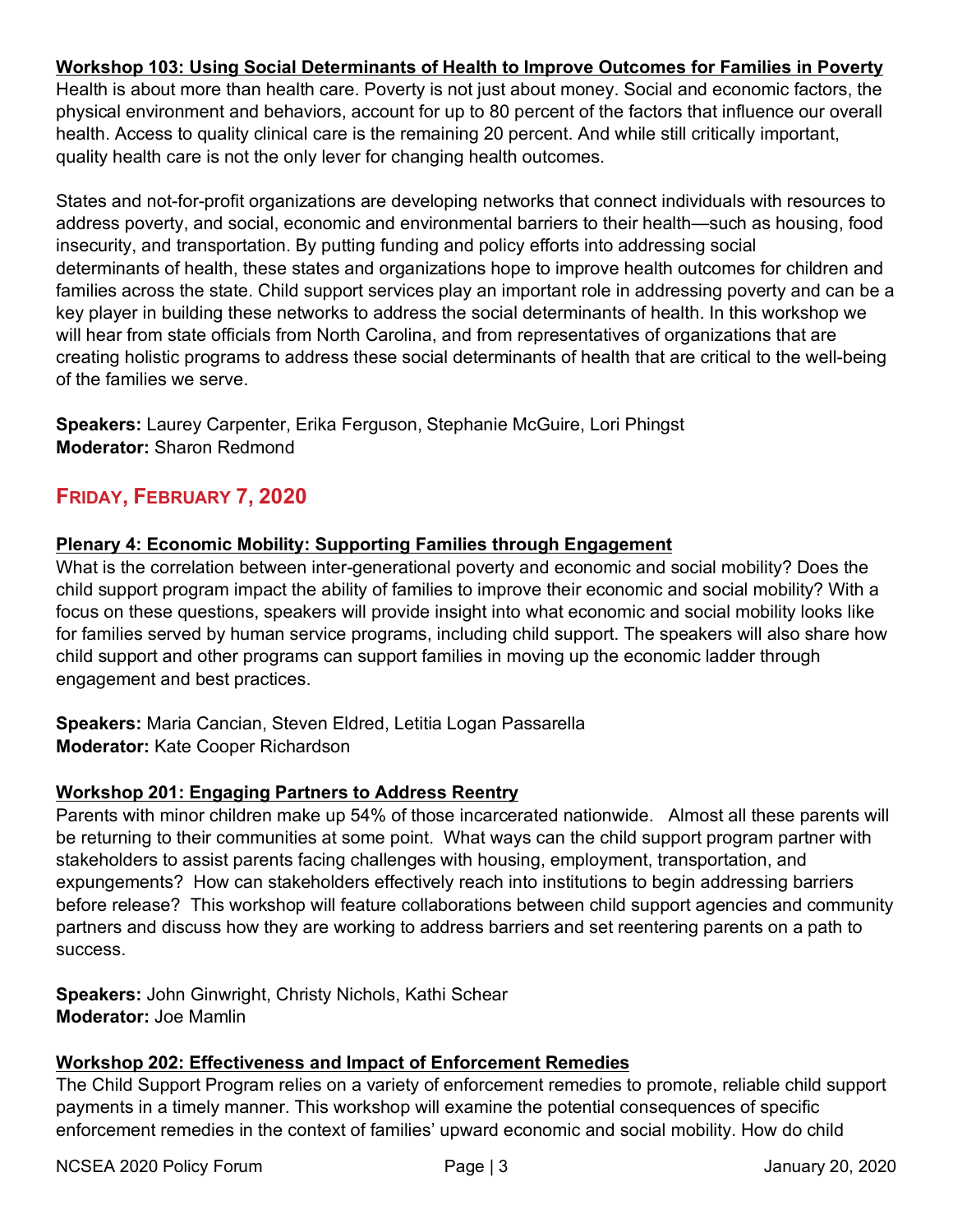## **Workshop 103: Using Social Determinants of Health to Improve Outcomes for Families in Poverty**

Health is about more than health care. Poverty is not just about money. Social and economic factors, the physical environment and behaviors, account for up to 80 percent of the factors that influence our overall health. Access to quality clinical care is the remaining 20 percent. And while still critically important, quality health care is not the only lever for changing health outcomes.

States and not-for-profit organizations are developing networks that connect individuals with resources to address poverty, and social, economic and environmental barriers to their health—such as housing, food insecurity, and transportation. By putting funding and policy efforts into addressing social determinants of health, these states and organizations hope to improve health outcomes for children and families across the state. Child support services play an important role in addressing poverty and can be a key player in building these networks to address the social determinants of health. In this workshop we will hear from state officials from North Carolina, and from representatives of organizations that are creating holistic programs to address these social determinants of health that are critical to the well-being of the families we serve.

**Speakers:** Laurey Carpenter, Erika Ferguson, Stephanie McGuire, Lori Phingst **Moderator:** Sharon Redmond

## **FRIDAY, FEBRUARY 7, 2020**

#### **Plenary 4: Economic Mobility: Supporting Families through Engagement**

What is the correlation between inter-generational poverty and economic and social mobility? Does the child support program impact the ability of families to improve their economic and social mobility? With a focus on these questions, speakers will provide insight into what economic and social mobility looks like for families served by human service programs, including child support. The speakers will also share how child support and other programs can support families in moving up the economic ladder through engagement and best practices.

**Speakers:** Maria Cancian, Steven Eldred, Letitia Logan Passarella **Moderator:** Kate Cooper Richardson

#### **Workshop 201: Engaging Partners to Address Reentry**

Parents with minor children make up 54% of those incarcerated nationwide. Almost all these parents will be returning to their communities at some point. What ways can the child support program partner with stakeholders to assist parents facing challenges with housing, employment, transportation, and expungements? How can stakeholders effectively reach into institutions to begin addressing barriers before release? This workshop will feature collaborations between child support agencies and community partners and discuss how they are working to address barriers and set reentering parents on a path to success.

**Speakers:** John Ginwright, Christy Nichols, Kathi Schear **Moderator:** Joe Mamlin

#### **Workshop 202: Effectiveness and Impact of Enforcement Remedies**

The Child Support Program relies on a variety of enforcement remedies to promote, reliable child support payments in a timely manner. This workshop will examine the potential consequences of specific enforcement remedies in the context of families' upward economic and social mobility. How do child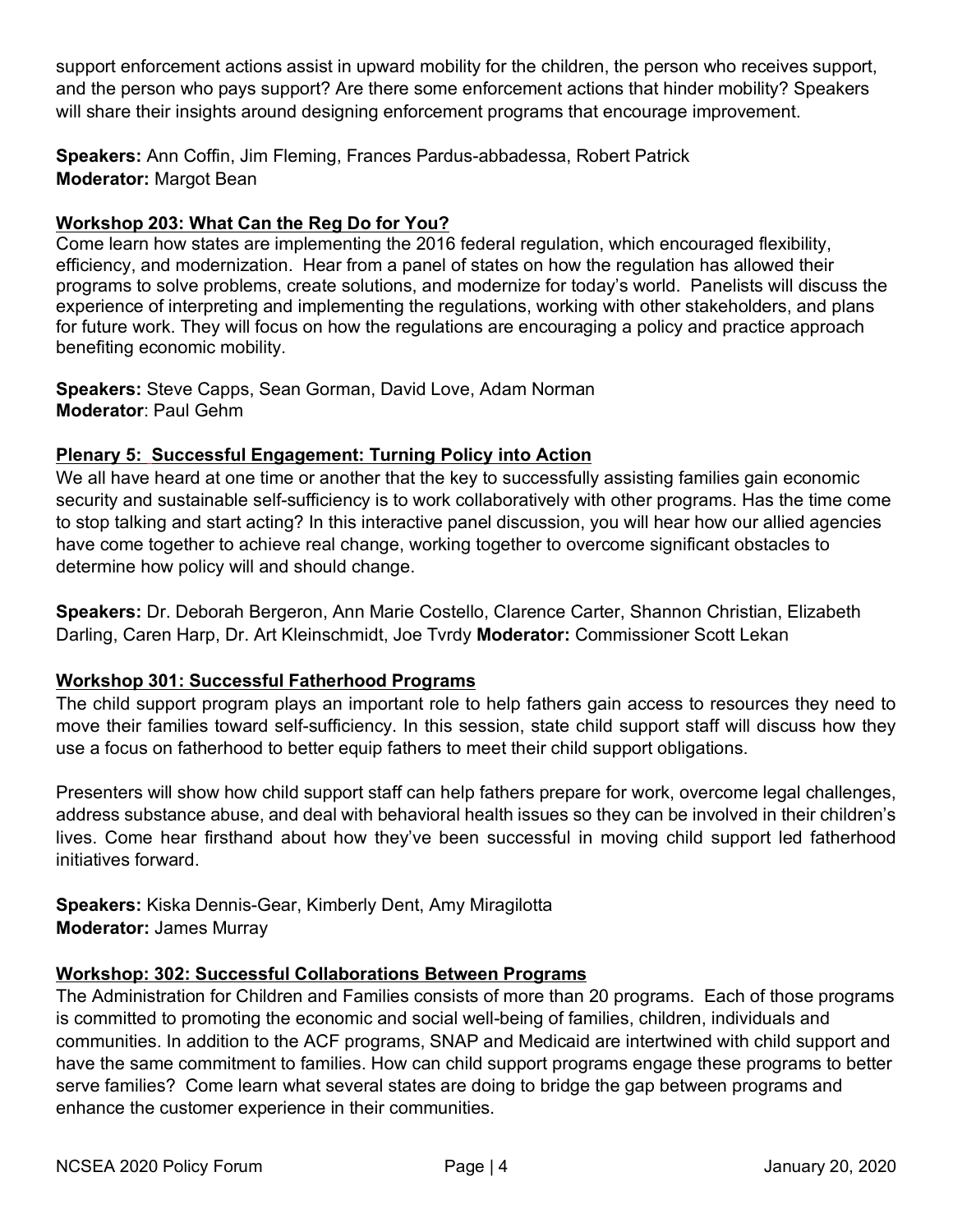support enforcement actions assist in upward mobility for the children, the person who receives support, and the person who pays support? Are there some enforcement actions that hinder mobility? Speakers will share their insights around designing enforcement programs that encourage improvement.

**Speakers:** Ann Coffin, Jim Fleming, Frances Pardus-abbadessa, Robert Patrick **Moderator:** Margot Bean

## **Workshop 203: What Can the Reg Do for You?**

Come learn how states are implementing the 2016 federal regulation, which encouraged flexibility, efficiency, and modernization. Hear from a panel of states on how the regulation has allowed their programs to solve problems, create solutions, and modernize for today's world. Panelists will discuss the experience of interpreting and implementing the regulations, working with other stakeholders, and plans for future work. They will focus on how the regulations are encouraging a policy and practice approach benefiting economic mobility.

**Speakers:** Steve Capps, Sean Gorman, David Love, Adam Norman **Moderator**: Paul Gehm

#### **Plenary 5: Successful Engagement: Turning Policy into Action**

We all have heard at one time or another that the key to successfully assisting families gain economic security and sustainable self-sufficiency is to work collaboratively with other programs. Has the time come to stop talking and start acting? In this interactive panel discussion, you will hear how our allied agencies have come together to achieve real change, working together to overcome significant obstacles to determine how policy will and should change.

**Speakers:** Dr. Deborah Bergeron, Ann Marie Costello, Clarence Carter, Shannon Christian, Elizabeth Darling, Caren Harp, Dr. Art Kleinschmidt, Joe Tvrdy **Moderator:** Commissioner Scott Lekan

#### **Workshop 301: Successful Fatherhood Programs**

The child support program plays an important role to help fathers gain access to resources they need to move their families toward self-sufficiency. In this session, state child support staff will discuss how they use a focus on fatherhood to better equip fathers to meet their child support obligations.

Presenters will show how child support staff can help fathers prepare for work, overcome legal challenges, address substance abuse, and deal with behavioral health issues so they can be involved in their children's lives. Come hear firsthand about how they've been successful in moving child support led fatherhood initiatives forward.

**Speakers:** Kiska Dennis-Gear, Kimberly Dent, Amy Miragilotta **Moderator:** James Murray

#### **Workshop: 302: Successful Collaborations Between Programs**

The Administration for Children and Families consists of more than 20 programs. Each of those programs is committed to promoting the economic and social well-being of families, children, individuals and communities. In addition to the ACF programs, SNAP and Medicaid are intertwined with child support and have the same commitment to families. How can child support programs engage these programs to better serve families? Come learn what several states are doing to bridge the gap between programs and enhance the customer experience in their communities.